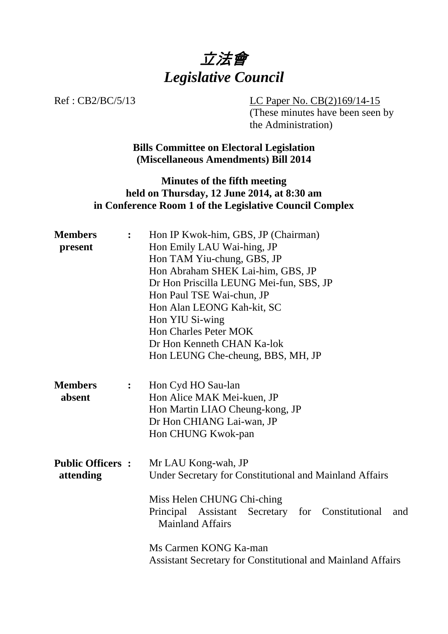

Ref : CB2/BC/5/13 LC Paper No. CB(2)169/14-15 (These minutes have been seen by the Administration)

> **Bills Committee on Electoral Legislation (Miscellaneous Amendments) Bill 2014**

## **Minutes of the fifth meeting held on Thursday, 12 June 2014, at 8:30 am in Conference Room 1 of the Legislative Council Complex**

| <b>Members</b><br>$\ddot{\cdot}$<br>present |                | Hon IP Kwok-him, GBS, JP (Chairman)<br>Hon Emily LAU Wai-hing, JP<br>Hon TAM Yiu-chung, GBS, JP<br>Hon Abraham SHEK Lai-him, GBS, JP<br>Dr Hon Priscilla LEUNG Mei-fun, SBS, JP<br>Hon Paul TSE Wai-chun, JP<br>Hon Alan LEONG Kah-kit, SC<br>Hon YIU Si-wing<br><b>Hon Charles Peter MOK</b> |  |
|---------------------------------------------|----------------|-----------------------------------------------------------------------------------------------------------------------------------------------------------------------------------------------------------------------------------------------------------------------------------------------|--|
|                                             |                | Dr Hon Kenneth CHAN Ka-lok<br>Hon LEUNG Che-cheung, BBS, MH, JP                                                                                                                                                                                                                               |  |
| <b>Members</b><br>absent                    | $\ddot{\cdot}$ | Hon Cyd HO Sau-lan<br>Hon Alice MAK Mei-kuen, JP<br>Hon Martin LIAO Cheung-kong, JP<br>Dr Hon CHIANG Lai-wan, JP<br>Hon CHUNG Kwok-pan                                                                                                                                                        |  |
| <b>Public Officers:</b><br>attending        |                | Mr LAU Kong-wah, JP<br>Under Secretary for Constitutional and Mainland Affairs<br>Miss Helen CHUNG Chi-ching<br>Principal Assistant Secretary for Constitutional<br>and<br><b>Mainland Affairs</b><br>Ms Carmen KONG Ka-man                                                                   |  |
|                                             |                | <b>Assistant Secretary for Constitutional and Mainland Affairs</b>                                                                                                                                                                                                                            |  |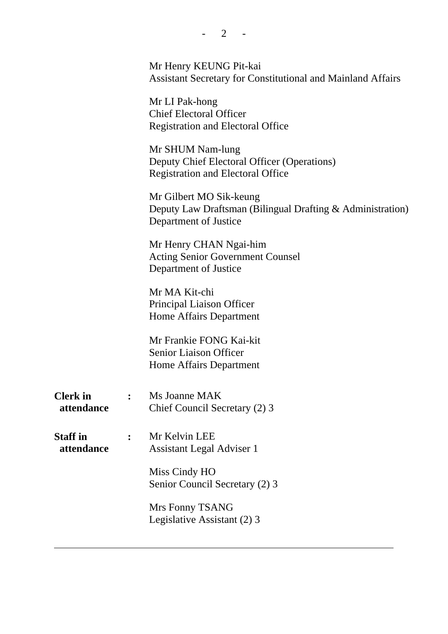|                               |                | Mr Henry KEUNG Pit-kai<br><b>Assistant Secretary for Constitutional and Mainland Affairs</b>                   |
|-------------------------------|----------------|----------------------------------------------------------------------------------------------------------------|
|                               |                | Mr LI Pak-hong<br><b>Chief Electoral Officer</b><br><b>Registration and Electoral Office</b>                   |
|                               |                | Mr SHUM Nam-lung<br>Deputy Chief Electoral Officer (Operations)<br><b>Registration and Electoral Office</b>    |
|                               |                | Mr Gilbert MO Sik-keung<br>Deputy Law Draftsman (Bilingual Drafting & Administration)<br>Department of Justice |
|                               |                | Mr Henry CHAN Ngai-him<br><b>Acting Senior Government Counsel</b><br>Department of Justice                     |
|                               |                | Mr MA Kit-chi<br>Principal Liaison Officer<br>Home Affairs Department                                          |
|                               |                | Mr Frankie FONG Kai-kit<br><b>Senior Liaison Officer</b><br>Home Affairs Department                            |
| <b>Clerk</b> in<br>attendance | $\ddot{\cdot}$ | Ms Joanne MAK<br>Chief Council Secretary (2) 3                                                                 |
| <b>Staff in</b><br>attendance | $\ddot{\cdot}$ | Mr Kelvin LEE<br><b>Assistant Legal Adviser 1</b>                                                              |
|                               |                | Miss Cindy HO<br>Senior Council Secretary (2) 3                                                                |
|                               |                | Mrs Fonny TSANG<br>Legislative Assistant (2) 3                                                                 |
|                               |                |                                                                                                                |

 $- 2 - 1$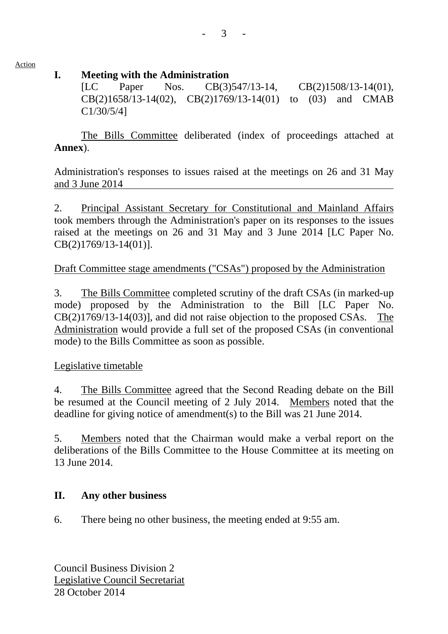Action

## **I. Meeting with the Administration**

[LC Paper Nos. CB(3)547/13-14, CB(2)1508/13-14(01), CB(2)1658/13-14(02), CB(2)1769/13-14(01) to (03) and CMAB C1/30/5/4]

 The Bills Committee deliberated (index of proceedings attached at **Annex**).

Administration's responses to issues raised at the meetings on 26 and 31 May and 3 June 2014

2. Principal Assistant Secretary for Constitutional and Mainland Affairs took members through the Administration's paper on its responses to the issues raised at the meetings on 26 and 31 May and 3 June 2014 [LC Paper No. CB(2)1769/13-14(01)].

## Draft Committee stage amendments ("CSAs") proposed by the Administration

3. The Bills Committee completed scrutiny of the draft CSAs (in marked-up mode) proposed by the Administration to the Bill [LC Paper No. CB(2)1769/13-14(03)], and did not raise objection to the proposed CSAs. The Administration would provide a full set of the proposed CSAs (in conventional mode) to the Bills Committee as soon as possible.

#### Legislative timetable

4. The Bills Committee agreed that the Second Reading debate on the Bill be resumed at the Council meeting of 2 July 2014. Members noted that the deadline for giving notice of amendment(s) to the Bill was 21 June 2014.

5. Members noted that the Chairman would make a verbal report on the deliberations of the Bills Committee to the House Committee at its meeting on 13 June 2014.

#### **II. Any other business**

6. There being no other business, the meeting ended at 9:55 am.

Council Business Division 2 Legislative Council Secretariat 28 October 2014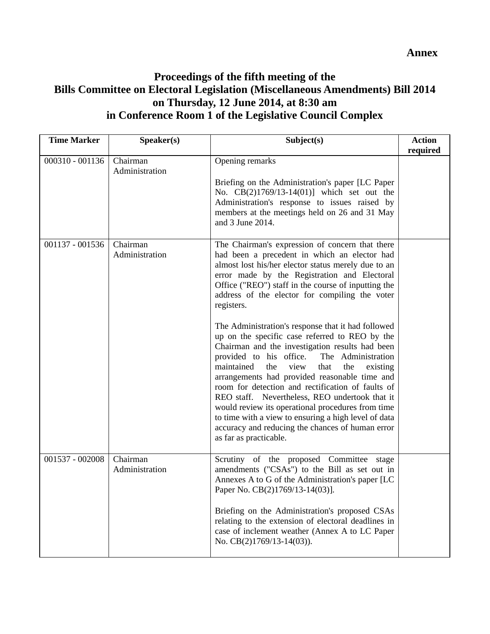**Annex** 

# **Proceedings of the fifth meeting of the Bills Committee on Electoral Legislation (Miscellaneous Amendments) Bill 2014 on Thursday, 12 June 2014, at 8:30 am in Conference Room 1 of the Legislative Council Complex**

| <b>Time Marker</b> | Speaker(s)                 | Subject(s)                                                                                                                                                                                                                                                                                                                                                                                                                                                                                                                                                                                                                                                                                                                                                                                                                                                                                                                                           | <b>Action</b><br>required |
|--------------------|----------------------------|------------------------------------------------------------------------------------------------------------------------------------------------------------------------------------------------------------------------------------------------------------------------------------------------------------------------------------------------------------------------------------------------------------------------------------------------------------------------------------------------------------------------------------------------------------------------------------------------------------------------------------------------------------------------------------------------------------------------------------------------------------------------------------------------------------------------------------------------------------------------------------------------------------------------------------------------------|---------------------------|
| 000310 - 001136    | Chairman<br>Administration | Opening remarks<br>Briefing on the Administration's paper [LC Paper<br>No. CB(2)1769/13-14(01)] which set out the<br>Administration's response to issues raised by<br>members at the meetings held on 26 and 31 May<br>and 3 June 2014.                                                                                                                                                                                                                                                                                                                                                                                                                                                                                                                                                                                                                                                                                                              |                           |
| 001137 - 001536    | Chairman<br>Administration | The Chairman's expression of concern that there<br>had been a precedent in which an elector had<br>almost lost his/her elector status merely due to an<br>error made by the Registration and Electoral<br>Office ("REO") staff in the course of inputting the<br>address of the elector for compiling the voter<br>registers.<br>The Administration's response that it had followed<br>up on the specific case referred to REO by the<br>Chairman and the investigation results had been<br>provided to his office.<br>The Administration<br>maintained<br>view<br>the<br>the<br>that<br>existing<br>arrangements had provided reasonable time and<br>room for detection and rectification of faults of<br>REO staff. Nevertheless, REO undertook that it<br>would review its operational procedures from time<br>to time with a view to ensuring a high level of data<br>accuracy and reducing the chances of human error<br>as far as practicable. |                           |
| 001537 - 002008    | Chairman<br>Administration | Scrutiny of the proposed Committee stage<br>amendments ("CSAs") to the Bill as set out in<br>Annexes A to G of the Administration's paper [LC<br>Paper No. CB(2)1769/13-14(03)].<br>Briefing on the Administration's proposed CSAs<br>relating to the extension of electoral deadlines in<br>case of inclement weather (Annex A to LC Paper<br>No. $CB(2)1769/13-14(03)$ ).                                                                                                                                                                                                                                                                                                                                                                                                                                                                                                                                                                          |                           |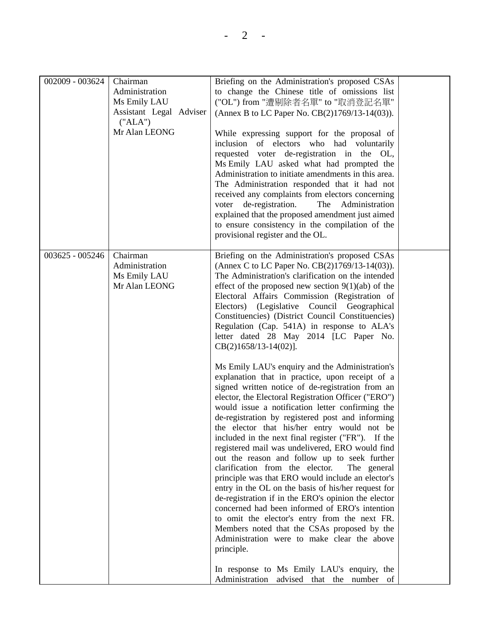| 002009 - 003624 | Chairman<br>Administration<br>Ms Emily LAU<br>Assistant Legal Adviser<br>("ALA")<br>Mr Alan LEONG | Briefing on the Administration's proposed CSAs<br>to change the Chinese title of omissions list<br>("OL") from "遭剔除者名單" to "取消登記名單"<br>(Annex B to LC Paper No. CB(2)1769/13-14(03)).<br>While expressing support for the proposal of<br>inclusion of electors who had voluntarily<br>requested voter de-registration in the OL,<br>Ms Emily LAU asked what had prompted the<br>Administration to initiate amendments in this area.<br>The Administration responded that it had not<br>received any complaints from electors concerning<br>voter de-registration.<br>The Administration<br>explained that the proposed amendment just aimed<br>to ensure consistency in the compilation of the                                                                                                                                                                                                                                                                                                                                                                                                                                                                                                                                                                                                                                                                                                                                                                                                                                                           |  |
|-----------------|---------------------------------------------------------------------------------------------------|----------------------------------------------------------------------------------------------------------------------------------------------------------------------------------------------------------------------------------------------------------------------------------------------------------------------------------------------------------------------------------------------------------------------------------------------------------------------------------------------------------------------------------------------------------------------------------------------------------------------------------------------------------------------------------------------------------------------------------------------------------------------------------------------------------------------------------------------------------------------------------------------------------------------------------------------------------------------------------------------------------------------------------------------------------------------------------------------------------------------------------------------------------------------------------------------------------------------------------------------------------------------------------------------------------------------------------------------------------------------------------------------------------------------------------------------------------------------------------------------------------------------------------------------------------|--|
|                 |                                                                                                   | provisional register and the OL.                                                                                                                                                                                                                                                                                                                                                                                                                                                                                                                                                                                                                                                                                                                                                                                                                                                                                                                                                                                                                                                                                                                                                                                                                                                                                                                                                                                                                                                                                                                         |  |
| 003625 - 005246 | Chairman<br>Administration<br>Ms Emily LAU<br>Mr Alan LEONG                                       | Briefing on the Administration's proposed CSAs<br>(Annex C to LC Paper No. CB(2)1769/13-14(03)).<br>The Administration's clarification on the intended<br>effect of the proposed new section $9(1)(ab)$ of the<br>Electoral Affairs Commission (Registration of<br>Electors) (Legislative Council Geographical<br>Constituencies) (District Council Constituencies)<br>Regulation (Cap. 541A) in response to ALA's<br>letter dated 28 May 2014 [LC Paper No.<br>$CB(2)1658/13-14(02)$ ].<br>Ms Emily LAU's enquiry and the Administration's<br>explanation that in practice, upon receipt of a<br>signed written notice of de-registration from an<br>elector, the Electoral Registration Officer ("ERO")<br>would issue a notification letter confirming the<br>de-registration by registered post and informing<br>the elector that his/her entry would not be<br>included in the next final register ("FR"). If the<br>registered mail was undelivered, ERO would find<br>out the reason and follow up to seek further<br>clarification from the elector.<br>The general<br>principle was that ERO would include an elector's<br>entry in the OL on the basis of his/her request for<br>de-registration if in the ERO's opinion the elector<br>concerned had been informed of ERO's intention<br>to omit the elector's entry from the next FR.<br>Members noted that the CSAs proposed by the<br>Administration were to make clear the above<br>principle.<br>In response to Ms Emily LAU's enquiry, the<br>Administration advised that the number of |  |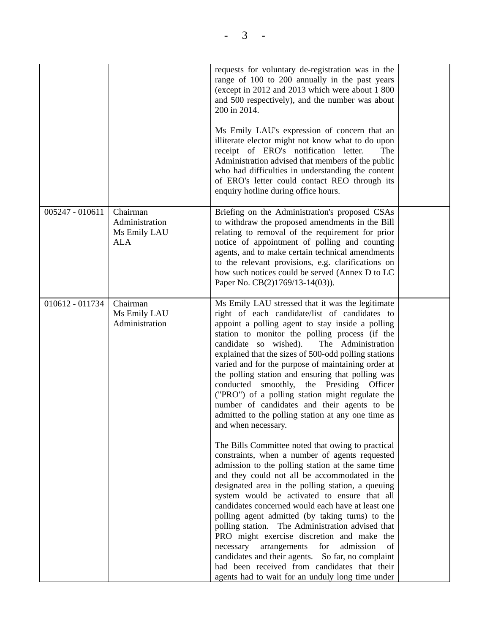|                 |                                                          | requests for voluntary de-registration was in the<br>range of 100 to 200 annually in the past years<br>(except in 2012 and 2013 which were about 1 800<br>and 500 respectively), and the number was about<br>200 in 2014.<br>Ms Emily LAU's expression of concern that an<br>illiterate elector might not know what to do upon<br>receipt of ERO's notification letter.<br>The<br>Administration advised that members of the public<br>who had difficulties in understanding the content<br>of ERO's letter could contact REO through its<br>enquiry hotline during office hours.                                                                                                                                                                                                                                                                                                                                                                                                                                                                                                                                                                                                                                                                                                                                                                                                                       |  |
|-----------------|----------------------------------------------------------|---------------------------------------------------------------------------------------------------------------------------------------------------------------------------------------------------------------------------------------------------------------------------------------------------------------------------------------------------------------------------------------------------------------------------------------------------------------------------------------------------------------------------------------------------------------------------------------------------------------------------------------------------------------------------------------------------------------------------------------------------------------------------------------------------------------------------------------------------------------------------------------------------------------------------------------------------------------------------------------------------------------------------------------------------------------------------------------------------------------------------------------------------------------------------------------------------------------------------------------------------------------------------------------------------------------------------------------------------------------------------------------------------------|--|
| 005247 - 010611 | Chairman<br>Administration<br>Ms Emily LAU<br><b>ALA</b> | Briefing on the Administration's proposed CSAs<br>to withdraw the proposed amendments in the Bill<br>relating to removal of the requirement for prior<br>notice of appointment of polling and counting<br>agents, and to make certain technical amendments<br>to the relevant provisions, e.g. clarifications on<br>how such notices could be served (Annex D to LC<br>Paper No. CB(2)1769/13-14(03)).                                                                                                                                                                                                                                                                                                                                                                                                                                                                                                                                                                                                                                                                                                                                                                                                                                                                                                                                                                                                  |  |
| 010612 - 011734 | Chairman<br>Ms Emily LAU<br>Administration               | Ms Emily LAU stressed that it was the legitimate<br>right of each candidate/list of candidates to<br>appoint a polling agent to stay inside a polling<br>station to monitor the polling process (if the<br>candidate so wished).<br>The Administration<br>explained that the sizes of 500-odd polling stations<br>varied and for the purpose of maintaining order at<br>the polling station and ensuring that polling was<br>conducted<br>smoothly,<br>the Presiding Officer<br>("PRO") of a polling station might regulate the<br>number of candidates and their agents to be<br>admitted to the polling station at any one time as<br>and when necessary.<br>The Bills Committee noted that owing to practical<br>constraints, when a number of agents requested<br>admission to the polling station at the same time<br>and they could not all be accommodated in the<br>designated area in the polling station, a queuing<br>system would be activated to ensure that all<br>candidates concerned would each have at least one<br>polling agent admitted (by taking turns) to the<br>polling station. The Administration advised that<br>PRO might exercise discretion and make the<br>for<br>admission<br>of<br>necessary<br>arrangements<br>candidates and their agents. So far, no complaint<br>had been received from candidates that their<br>agents had to wait for an unduly long time under |  |